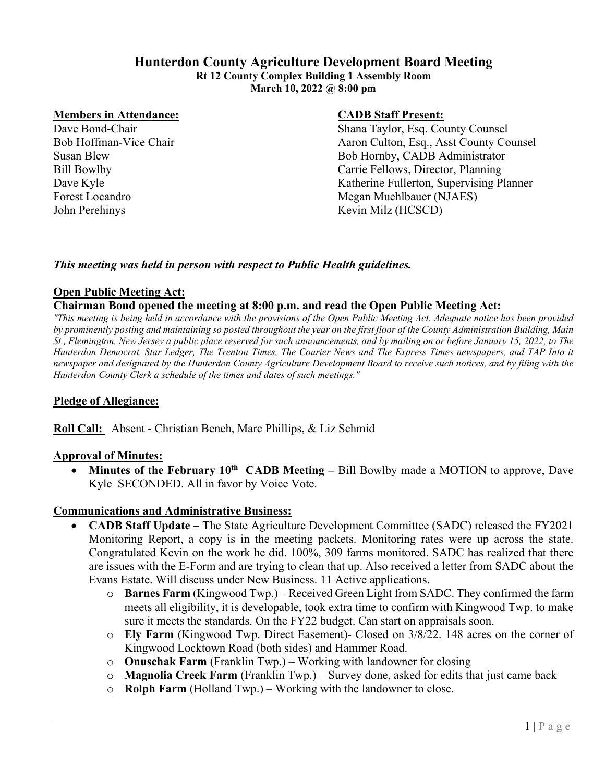# **Hunterdon County Agriculture Development Board Meeting**

**Rt 12 County Complex Building 1 Assembly Room March 10, 2022 @ 8:00 pm** 

#### **Members in Attendance: CADB Staff Present:**

John Perehinys Kevin Milz (HCSCD)

Dave Bond-Chair Shana Taylor, Esq. County Counsel Bob Hoffman-Vice Chair Aaron Culton, Esq., Asst County Counsel Susan Blew Bob Hornby, CADB Administrator Bill Bowlby Carrie Fellows, Director, Planning Dave Kyle Katherine Fullerton, Supervising Planner Forest Locandro Megan Muehlbauer (NJAES)

## *This meeting was held in person with respect to Public Health guidelines.*

# **Open Public Meeting Act:**

## **Chairman Bond opened the meeting at 8:00 p.m. and read the Open Public Meeting Act:**

*"This meeting is being held in accordance with the provisions of the Open Public Meeting Act. Adequate notice has been provided by prominently posting and maintaining so posted throughout the year on the first floor of the County Administration Building, Main St., Flemington, New Jersey a public place reserved for such announcements, and by mailing on or before January 15, 2022, to The Hunterdon Democrat, Star Ledger, The Trenton Times, The Courier News and The Express Times newspapers, and TAP Into it newspaper and designated by the Hunterdon County Agriculture Development Board to receive such notices, and by filing with the Hunterdon County Clerk a schedule of the times and dates of such meetings."*

# **Pledge of Allegiance:**

**Roll Call:** Absent - Christian Bench, Marc Phillips, & Liz Schmid

## **Approval of Minutes:**

• Minutes of the February 10<sup>th</sup> CADB Meeting – Bill Bowlby made a MOTION to approve, Dave Kyle SECONDED. All in favor by Voice Vote.

## **Communications and Administrative Business:**

- **CADB Staff Update** The State Agriculture Development Committee (SADC) released the FY2021 Monitoring Report, a copy is in the meeting packets. Monitoring rates were up across the state. Congratulated Kevin on the work he did. 100%, 309 farms monitored. SADC has realized that there are issues with the E-Form and are trying to clean that up. Also received a letter from SADC about the Evans Estate. Will discuss under New Business. 11 Active applications.
	- o **Barnes Farm** (Kingwood Twp.) Received Green Light from SADC. They confirmed the farm meets all eligibility, it is developable, took extra time to confirm with Kingwood Twp. to make sure it meets the standards. On the FY22 budget. Can start on appraisals soon.
	- o **Ely Farm** (Kingwood Twp. Direct Easement)- Closed on 3/8/22. 148 acres on the corner of Kingwood Locktown Road (both sides) and Hammer Road.
	- o **Onuschak Farm** (Franklin Twp.) Working with landowner for closing
	- o **Magnolia Creek Farm** (Franklin Twp.) Survey done, asked for edits that just came back
	- o **Rolph Farm** (Holland Twp.) Working with the landowner to close.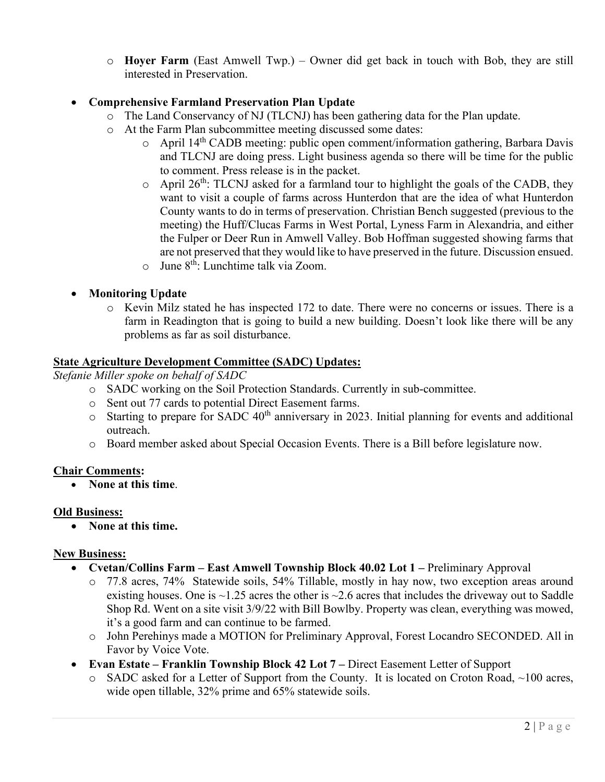o **Hoyer Farm** (East Amwell Twp.) – Owner did get back in touch with Bob, they are still interested in Preservation.

# • **Comprehensive Farmland Preservation Plan Update**

- o The Land Conservancy of NJ (TLCNJ) has been gathering data for the Plan update.
- o At the Farm Plan subcommittee meeting discussed some dates:<br>  $\circ$  April 14<sup>th</sup> CADB meeting: public open comment/inform
	- April 14<sup>th</sup> CADB meeting: public open comment/information gathering, Barbara Davis and TLCNJ are doing press. Light business agenda so there will be time for the public to comment. Press release is in the packet.
	- $\circ$  April 26<sup>th</sup>: TLCNJ asked for a farmland tour to highlight the goals of the CADB, they want to visit a couple of farms across Hunterdon that are the idea of what Hunterdon County wants to do in terms of preservation. Christian Bench suggested (previous to the meeting) the Huff/Clucas Farms in West Portal, Lyness Farm in Alexandria, and either the Fulper or Deer Run in Amwell Valley. Bob Hoffman suggested showing farms that are not preserved that they would like to have preserved in the future. Discussion ensued.
	- $\circ$  June  $8^{th}$ : Lunchtime talk via Zoom.
- **Monitoring Update** 
	- o Kevin Milz stated he has inspected 172 to date. There were no concerns or issues. There is a farm in Readington that is going to build a new building. Doesn't look like there will be any problems as far as soil disturbance.

# **State Agriculture Development Committee (SADC) Updates:**

*Stefanie Miller spoke on behalf of SADC*

- o SADC working on the Soil Protection Standards. Currently in sub-committee.
- o Sent out 77 cards to potential Direct Easement farms.
- $\circ$  Starting to prepare for SADC 40<sup>th</sup> anniversary in 2023. Initial planning for events and additional outreach.
- o Board member asked about Special Occasion Events. There is a Bill before legislature now.

# **Chair Comments:**

• **None at this time**.

# **Old Business:**

• **None at this time.** 

# **New Business:**

- **Cvetan/Collins Farm East Amwell Township Block 40.02 Lot 1 Preliminary Approval** 
	- o 77.8 acres, 74% Statewide soils, 54% Tillable, mostly in hay now, two exception areas around existing houses. One is  $\sim$ 1.25 acres the other is  $\sim$ 2.6 acres that includes the driveway out to Saddle Shop Rd. Went on a site visit 3/9/22 with Bill Bowlby. Property was clean, everything was mowed, it's a good farm and can continue to be farmed.
	- o John Perehinys made a MOTION for Preliminary Approval, Forest Locandro SECONDED. All in Favor by Voice Vote.
- **Evan Estate Franklin Township Block 42 Lot 7 Direct Easement Letter of Support** 
	- o SADC asked for a Letter of Support from the County. It is located on Croton Road, ~100 acres, wide open tillable, 32% prime and 65% statewide soils.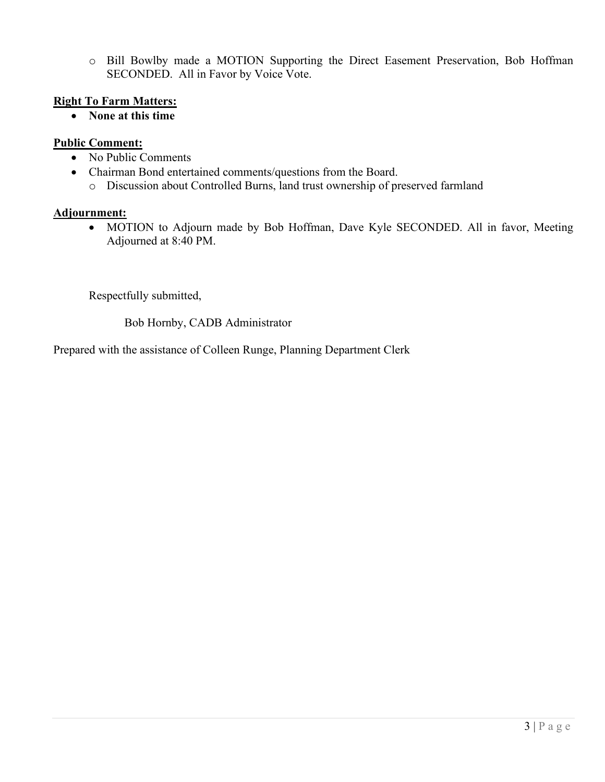o Bill Bowlby made a MOTION Supporting the Direct Easement Preservation, Bob Hoffman SECONDED. All in Favor by Voice Vote.

# **Right To Farm Matters:**

• **None at this time**

# **Public Comment:**

- No Public Comments
- Chairman Bond entertained comments/questions from the Board.
	- o Discussion about Controlled Burns, land trust ownership of preserved farmland

# **Adjournment:**

• MOTION to Adjourn made by Bob Hoffman, Dave Kyle SECONDED. All in favor, Meeting Adjourned at 8:40 PM.

Respectfully submitted,

Bob Hornby, CADB Administrator

Prepared with the assistance of Colleen Runge, Planning Department Clerk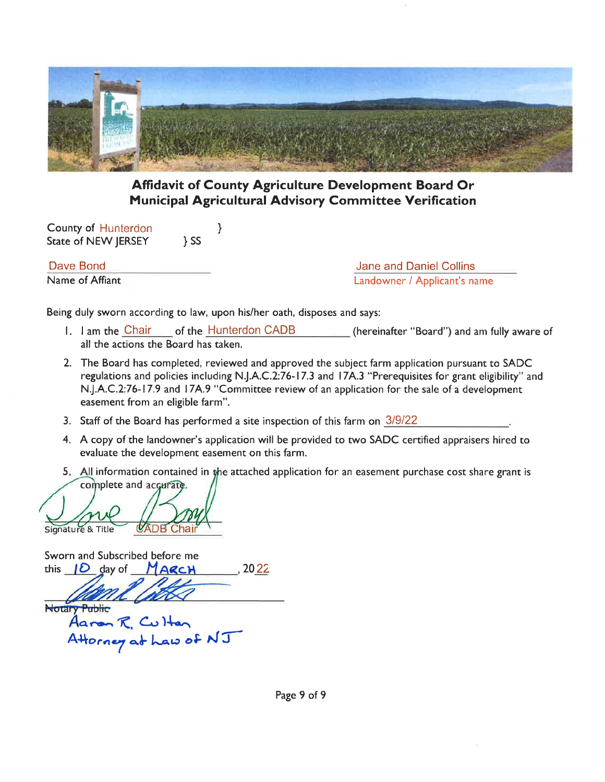

# **Affidavit of County Agriculture Development Board Or Municipal Agricultural Advisory Committee Verification**

**County of Hunterdon** State of NEW JERSEY  $\}$  SS

Dave Bond Name of Affiant

**Jane and Daniel Collins** Landowner / Applicant's name

Being duly sworn according to law, upon his/her oath, disposes and says:

 $\}$ 

- 1. I am the Chair of the Hunterdon CADB (hereinafter "Board") and am fully aware of all the actions the Board has taken.
- 2. The Board has completed, reviewed and approved the subject farm application pursuant to SADC regulations and policies including N.J.A.C.2:76-17.3 and 17A.3 "Prerequisites for grant eligibility" and N.J.A.C.2:76-17.9 and 17A.9 "Committee review of an application for the sale of a development easement from an eligible farm".
- 3. Staff of the Board has performed a site inspection of this farm on 3/9/22
- 4. A copy of the landowner's application will be provided to two SADC certified appraisers hired to evaluate the development easement on this farm.
- 5. All information contained in the attached application for an easement purchase cost share grant is

complete and accurate. nature & Title

Sworn and Subscribed before me  $, 2022$ this  $10$  day of MARCH **Notary Public** Aaron R. Culton Attorney at haw of  $NT$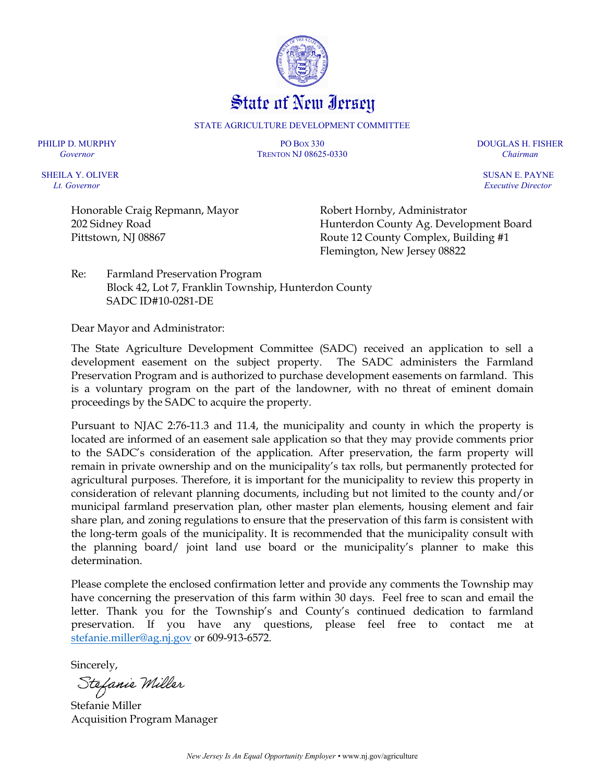

STATE AGRICULTURE DEVELOPMENT COMMITTEE

PHILIP D. MURPHY PO BOX 330 DOUGLAS H. FISHER *Governor* TRENTON NJ 08625-0330 *Chairman*

SHEILA Y. OLIVER SUSAN E. PAYNE  *Lt. Governor Executive Director* 

Honorable Craig Repmann, Mayor 202 Sidney Road Pittstown, NJ 08867

Robert Hornby, Administrator Hunterdon County Ag. Development Board Route 12 County Complex, Building #1 Flemington, New Jersey 08822

Re: Farmland Preservation Program Block 42, Lot 7, Franklin Township, Hunterdon County SADC ID#10-0281-DE

Dear Mayor and Administrator:

The State Agriculture Development Committee (SADC) received an application to sell a development easement on the subject property. The SADC administers the Farmland Preservation Program and is authorized to purchase development easements on farmland. This is a voluntary program on the part of the landowner, with no threat of eminent domain proceedings by the SADC to acquire the property.

Pursuant to NJAC 2:76-11.3 and 11.4, the municipality and county in which the property is located are informed of an easement sale application so that they may provide comments prior to the SADC's consideration of the application. After preservation, the farm property will remain in private ownership and on the municipality's tax rolls, but permanently protected for agricultural purposes. Therefore, it is important for the municipality to review this property in consideration of relevant planning documents, including but not limited to the county and/or municipal farmland preservation plan, other master plan elements, housing element and fair share plan, and zoning regulations to ensure that the preservation of this farm is consistent with the long-term goals of the municipality. It is recommended that the municipality consult with the planning board/ joint land use board or the municipality's planner to make this determination.

Please complete the enclosed confirmation letter and provide any comments the Township may have concerning the preservation of this farm within 30 days. Feel free to scan and email the letter. Thank you for the Township's and County's continued dedication to farmland preservation. If you have any questions, please feel free to contact me at [stefanie.miller@ag.nj.gov](mailto:stefanie.miller@ag.nj.gov) or 609-913-6572.

Sincerely,

Stefanie Miller

Stefanie Miller Acquisition Program Manager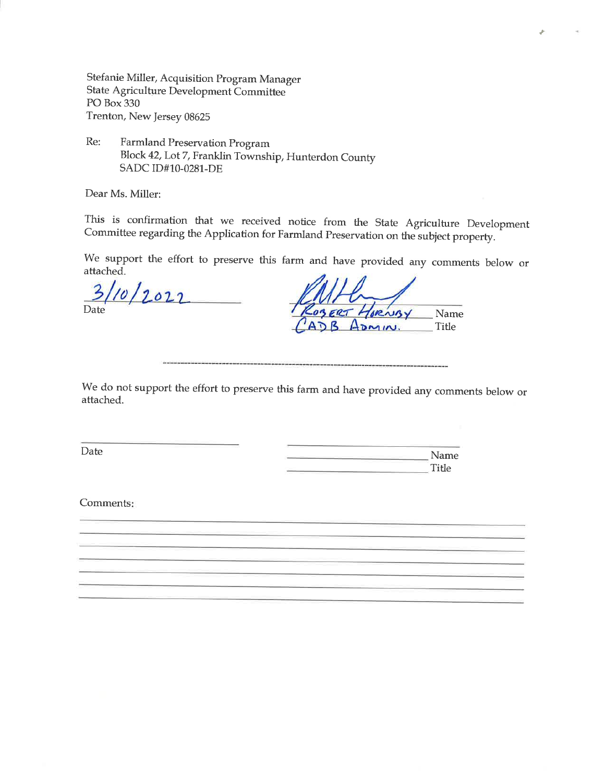Stefanie Miller, Acquisition Program Manager State Agriculture Development Committee PO Box 330 Trenton, New Jersey 08625

Re: Farmland Preservation Program Block 42, Lot 7, Franklin Township, Hunterdon County SADC ID#10-0281-DE

Dear Ms. Miller:

This is confirmation that we received notice from the State Agriculture Development Committee regarding the Application for Farmland Preservation on the subject property.

We support the effort to preserve this farm and have provided any comments below or attached.

 $1012022$  $\overline{\mathbf{3}}$ Date

OBERT L werey Name ADMIN. Title

We do not support the effort to preserve this farm and have provided any comments below or attached.

Date

Name **Title** 

Comments: